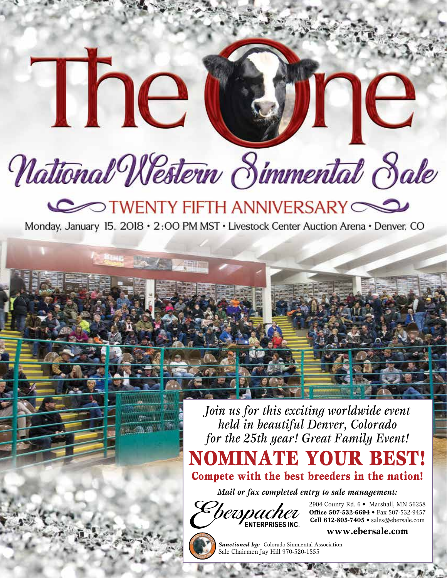# National Western Simmental Sale

The

## TWENTY FIFTH ANNIVERSARY

Monday, January 15, 2018 · 2:00 PM MST · Livestock Center Auction Arena · Denver, CO

*Join us for this exciting worldwide event held in beautiful Denver, Colorado for the 25th year! Great Family Event!*

NOMINATE YOUR BEST!

Compete with the best breeders in the nation!

*Mail or fax completed entry to sale management:*



2904 County Rd. 6 • Marshall, MN 56258 **Office 507-532-6694** • Fax 507-532-9457 **Cell 612-805-7405** • sales@ebersale.com

ne





*Sanctioned by:* Colorado Simmental Association Sale Chairmen Jay Hill 970-520-1555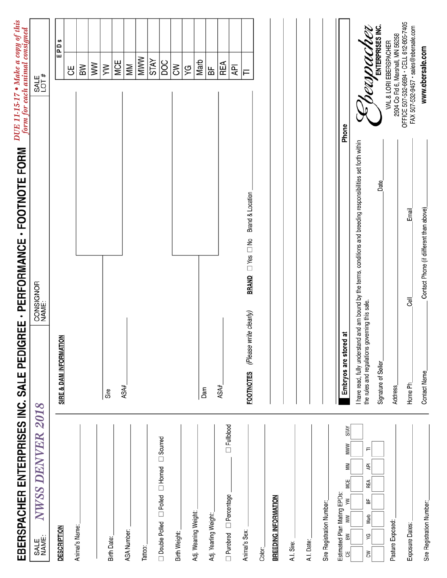| EBERSPACHER ENTERPRISES INC. SALE PEDIGREE - PERFORMANCE - FOOTNOTE FORM                    |                                                |                                                                                                                  |       |       | DUE 11-15-17 • Make a copy of this<br>form for each animal consigned             |     |
|---------------------------------------------------------------------------------------------|------------------------------------------------|------------------------------------------------------------------------------------------------------------------|-------|-------|----------------------------------------------------------------------------------|-----|
| NWSS DENVER 2018<br>SALE<br>NAME:                                                           |                                                | CONSIGNOR<br>NAME:                                                                                               |       |       | SALE<br>LOT #                                                                    |     |
| <b>DESCRIPTION</b>                                                                          | SIRE & DAM INFORMATION                         |                                                                                                                  |       |       | EPDs                                                                             |     |
|                                                                                             |                                                |                                                                                                                  |       |       | 出                                                                                |     |
| Animal's Name:                                                                              |                                                |                                                                                                                  |       |       | ВW                                                                               |     |
|                                                                                             |                                                |                                                                                                                  |       |       | $\geqslant$                                                                      |     |
| Birth Date:                                                                                 | Sire                                           |                                                                                                                  |       |       | ξ                                                                                |     |
|                                                                                             | ASA#                                           |                                                                                                                  |       |       | MCE                                                                              |     |
| ASA Number:                                                                                 |                                                |                                                                                                                  |       |       | MM                                                                               |     |
| Tattoo:                                                                                     |                                                |                                                                                                                  |       |       | <b>MWW</b>                                                                       |     |
| $\Box$ Double Polled $\Box$ Polled $\Box$ Horned $\Box$ Scurred                             |                                                |                                                                                                                  |       |       | <b>STAY</b>                                                                      |     |
|                                                                                             |                                                |                                                                                                                  |       |       | DOC                                                                              |     |
| Birth Weight:                                                                               |                                                |                                                                                                                  |       |       | $\lesssim$                                                                       |     |
| Adj. Weaning Weight:                                                                        |                                                |                                                                                                                  |       |       | ΥG                                                                               |     |
|                                                                                             | Dam                                            |                                                                                                                  |       |       | Marb                                                                             |     |
| Adj. Yearling Weight:                                                                       |                                                |                                                                                                                  |       |       | ₽F                                                                               |     |
| $\Box$ Fullblood<br>Purebred Dercentage                                                     | ASA#                                           |                                                                                                                  |       |       | REA                                                                              |     |
|                                                                                             |                                                |                                                                                                                  |       |       | ξÞ                                                                               |     |
| Animal's Sex:                                                                               | (Please write clearly)<br><b>FOOTNOTES</b>     | BRAND IYes INo Brand & Location                                                                                  |       |       | ᆮ                                                                                |     |
| Color:                                                                                      |                                                |                                                                                                                  |       |       |                                                                                  |     |
| <b>BREEDING INFORMATION</b>                                                                 |                                                |                                                                                                                  |       |       |                                                                                  |     |
| A.I. Sire:                                                                                  |                                                |                                                                                                                  |       |       |                                                                                  |     |
| A.I. Date:                                                                                  |                                                |                                                                                                                  |       |       |                                                                                  |     |
| Sire Registration Number:                                                                   |                                                |                                                                                                                  |       |       |                                                                                  |     |
|                                                                                             |                                                |                                                                                                                  |       |       |                                                                                  |     |
| <b>STAY</b><br><b>MWW</b><br>ŠΜ<br>MCE<br>Estimated Plan Mating EPDs:<br>ξ<br>Š<br>B₩<br>٣, | Embryos are stored at                          |                                                                                                                  |       | Phone |                                                                                  |     |
| F<br>₽Į<br>REA<br>놂<br>Marb<br>δX<br>ŠΜ                                                     | the rules and regulations governing this sale. | have read, fully understand and am bound by the terms, conditions and breeding responsibilities set forth within |       |       | respach                                                                          | U d |
|                                                                                             | Signature of Seller                            |                                                                                                                  | Date  |       | ENTERPRISES INC.                                                                 |     |
| Pasture Exposed:                                                                            | Address_                                       |                                                                                                                  |       |       | 2904 Co Rd 6, Marshall, MN 56258<br>VAL & LORI EBERSPACHER                       |     |
| Exposure Dates:                                                                             | Home Ph                                        | <b>Cell</b>                                                                                                      | Email |       | OFFICE 507-532-6694 - CELL 612-805-7405<br>FAX 507-532-9457 · sales@ebersale.com |     |
| Sire Registration Number:                                                                   | Contact Name                                   | Contact Phone (if diifferent than above).                                                                        |       |       | www.ebersale.com                                                                 |     |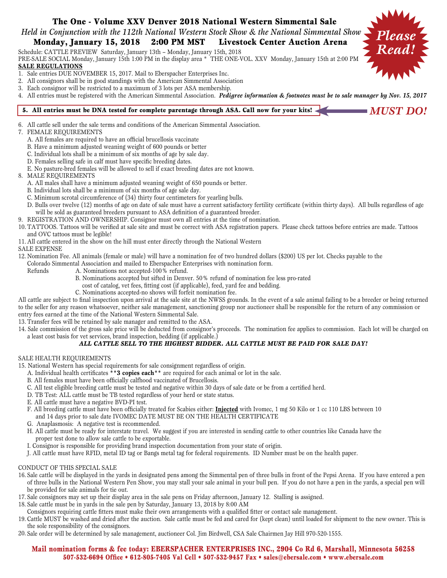### The One - Volume XXV Denver 2018 National Western Simmental Sale

*Held in Conjunction with the 112th National Western Stock Show & the National Simmental Show*

### Monday, January 15, 2018 2:00 PM MST Livestock Center Auction Arena

Schedule: CATTLE PREVIEW Saturday, January 13th – Monday, January 15th, 2018

PRE-SALE SOCIAL Monday, January 15th 1:00 PM in the display area \* THE ONE-VOL. XXV Monday, January 15th at 2:00 PM **SALE REGULATIONS**

- 1. Sale entries DUE NOVEMBER 15, 2017. Mail to Eberspacher Enterprises Inc.
- 2. All consignors shall be in good standings with the American Simmental Association
- 3. Each consignor will be restricted to a maximum of 3 lots per ASA membership.
- 4. All entries must be registered with the American Simmental Association. *Pedigree information & footnotes must be to sale manager by Nov. 15, 2017*

*MUST DO!*

*Please Read!*

#### 5. All entries must be DNA tested for complete parentage through ASA. Call now for your kits! <

6. All cattle sell under the sale terms and conditions of the American Simmental Association.

#### 7. FEMALE REQUIREMENTS

- A. All females are required to have an official brucellosis vaccinate
- B. Have a minimum adjusted weaning weight of 600 pounds or better
- C. Individual lots shall be a minimum of six months of age by sale day.
- D. Females selling safe in calf must have specific breeding dates.
- E. No pasture-bred females will be allowed to sell if exact breeding dates are not known.

#### 8. MALE REQUIREMENTS

- A. All males shall have a minimum adjusted weaning weight of 650 pounds or better.
- B. Individual lots shall be a minimum of six months of age sale day.
- C. Minimum scrotal circumference of (34) thirty four centimeters for yearling bulls.
- D. Bulls over twelve (12) months of age on date of sale must have a current satisfactory fertility certificate (within thirty days). All bulls regardless of age will be sold as guaranteed breeders pursuant to ASA definition of a guaranteed breeder.
- 9. REGISTRATION AND OWNERSHIP. Consignor must own all entries at the time of nomination.
- 10. TATTOOS. Tattoos will be verified at sale site and must be correct with ASA registration papers. Please check tattoos before entries are made. Tattoos and OVC tattoos must be legible!
- 11. All cattle entered in the show on the hill must enter directly through the National Western

#### SALE EXPENSE

- 12. Nomination Fee. All animals (female or male) will have a nomination fee of two hundred dollars (\$200) US per lot. Checks payable to the
- Colorado Simmental Association and mailed to Eberspacher Enterprises with nomination form.
	- Refunds A. Nominations not accepted-100% refund.
		- B. Nominations accepted but sifted in Denver. 50% refund of nomination fee less pro-rated
		- cost of catalog, vet fees, fitting cost (if applicable), feed, yard fee and bedding.
		- C. Nominations accepted-no shows will forfeit nomination fee.

All cattle are subject to final inspection upon arrival at the sale site at the NWSS grounds. In the event of a sale animal failing to be a breeder or being returned to the seller for any reason whatsoever, neither sale management, sanctioning group nor auctioneer shall be responsible for the return of any commission or entry fees earned at the time of the National Western Simmental Sale.

- 13. Transfer fees will be retained by sale manager and remitted to the ASA.
- 14. Sale commission of the gross sale price will be deducted from consignor's proceeds. The nomination fee applies to commission. Each lot will be charged on a least cost basis for vet services, brand inspection, bedding (if applicable.)

#### *ALL CATTLE SELL TO THE HIGHEST BIDDER. ALL CATTLE MUST BE PAID FOR SALE DAY!*

#### SALE HEALTH REQUIREMENTS

- 15. National Western has special requirements for sale consignment regardless of origin.
	- A. Individual health certificates **\*\*3 copies each\*\*** are required for each animal or lot in the sale.
	- B. All females must have been officially calfhood vaccinated of Brucellosis.
	- C. All test eligible breeding cattle must be tested and negative within 30 days of sale date or be from a certified herd.
	- D. TB Test: ALL cattle must be TB tested regardless of your herd or state status.
	- E. All cattle must have a negative BVD-PI test.
	- F. All breeding cattle must have been officially treated for Scabies either: **Injected** with Ivomec, 1 mg 50 Kilo or 1 cc 110 LBS between 10 and 14 days prior to sale date IVOMEC DATE MUST BE ON THE HEALTH CERTIFICATE
	- G. Anaplasmosis: A negative test is recommended.
	- H. All cattle must be ready for interstate travel. We suggest if you are interested in sending cattle to other countries like Canada have the proper test done to allow sale cattle to be exportable.
	- I. Consignor is responsible for providing brand inspection documentation from your state of origin.
	- J. All cattle must have RFID, metal ID tag or Bangs metal tag for federal requirements. ID Number must be on the health paper.

#### CONDUCT OF THIS SPECIAL SALE

- 16. Sale cattle will be displayed in the yards in designated pens among the Simmental pen of three bulls in front of the Pepsi Arena. If you have entered a pen of three bulls in the National Western Pen Show, you may stall your sale animal in your bull pen. If you do not have a pen in the yards, a special pen will be provided for sale animals for tie out.
- 17. Sale consignors may set up their display area in the sale pens on Friday afternoon, January 12. Stalling is assigned.
- 18. Sale cattle must be in yards in the sale pen by Saturday, January 13, 2018 by 8:00 AM
- Consignors requiring cattle fitters must make their own arrangements with a qualified fitter or contact sale management.
- 19. Cattle MUST be washed and dried after the auction. Sale cattle must be fed and cared for (kept clean) until loaded for shipment to the new owner. This is the sole responsibility of the consignors.
- 20. Sale order will be determined by sale management, auctioneer Col. Jim Birdwell, CSA Sale Chairmen Jay Hill 970-520-1555.

#### Mail nomination forms & fee today: EBERSPACHER ENTERPRISES INC., 2904 Co Rd 6, Marshall, Minnesota 56258 507-532-6694 Office • 612-805-7405 Val Cell • 507-532-9457 Fax • sales@ebersale.com • www.ebersale.com